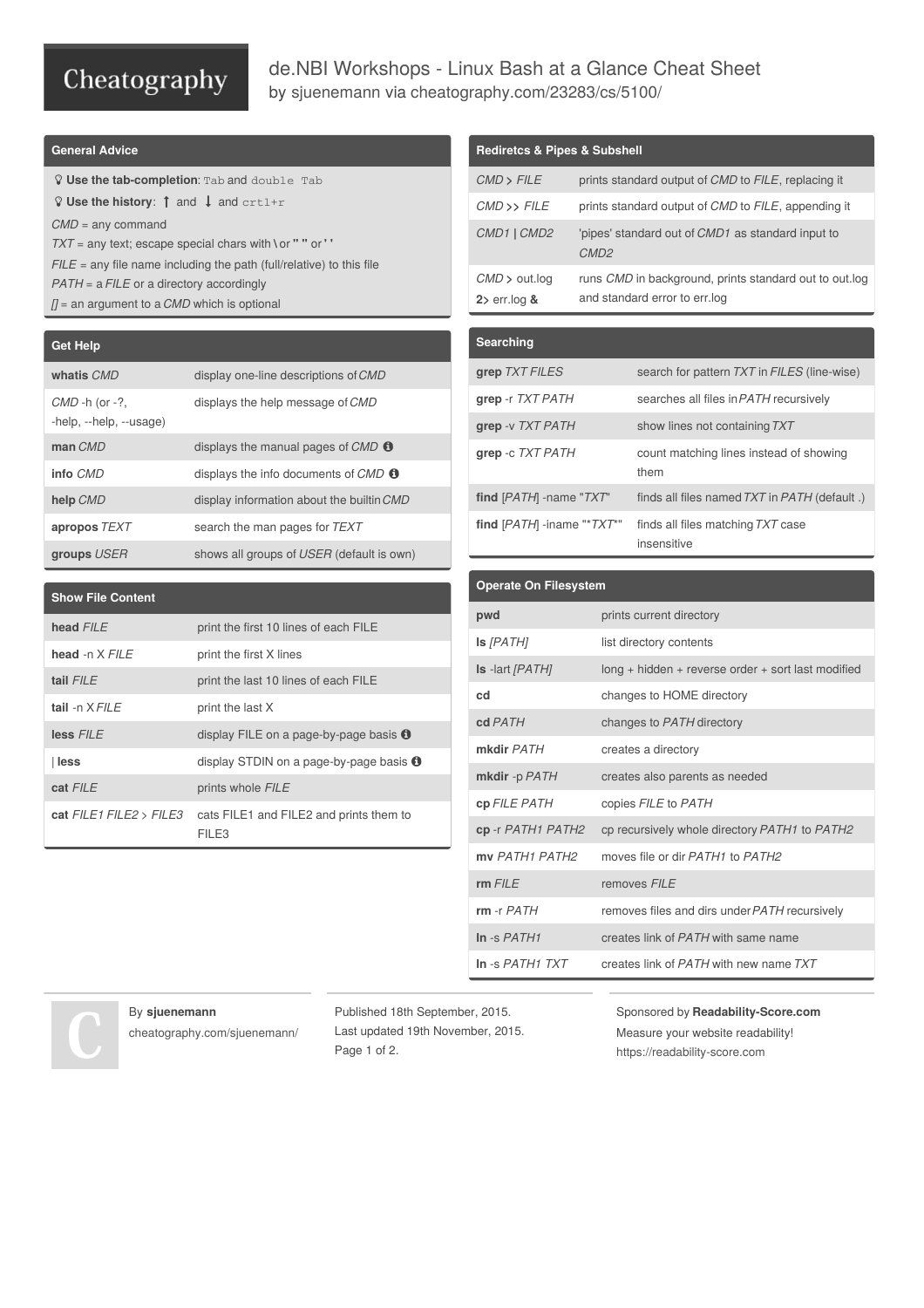# Cheatography

# de.NBI Workshops - Linux Bash at a Glance Cheat Sheet by [sjuenemann](http://www.cheatography.com/sjuenemann/) via [cheatography.com/23283/cs/5100/](http://www.cheatography.com/sjuenemann/cheat-sheets/de-nbi-workshops-linux-bash-at-a-glance)

### **General Advice**

 **Use the tab-completion**: Tab and double Tab **Q** Use the history:  $\uparrow$  and  $\downarrow$  and crtl+r *CMD* = any command *TXT* = any text; escape special chars with **\** or **" "** or **' '** *FILE* = any file name including the path (full/relative) to this file *PATH* = a *FILE* or a directory accordingly *[]* = an argument to a *CMD* which is optional

**Get Help**

| <b>GULTIUM</b>                             |                                                |
|--------------------------------------------|------------------------------------------------|
| whatis CMD                                 | display one-line descriptions of CMD           |
| $CMD -h (or -?$<br>-help, --help, --usage) | displays the help message of CMD               |
| man CMD                                    | displays the manual pages of $CMD$ $\bullet$   |
| info CMD                                   | displays the info documents of $CMD$ $\bullet$ |
| help CMD                                   | display information about the builtin CMD      |
| apropos TEXT                               | search the man pages for TEXT                  |
| groups USER                                | shows all groups of USER (default is own)      |

### **Show File Content**

| head FILE                       | print the first 10 lines of each FILE             |
|---------------------------------|---------------------------------------------------|
| head -n $X$ FII F               | print the first X lines                           |
| tail $FII$ $F$                  | print the last 10 lines of each FILE              |
| tail -n X FII F                 | print the last X                                  |
| less FILE                       | display FILE on a page-by-page basis $\bullet$    |
| l less                          | display STDIN on a page-by-page basis $\bullet$   |
| cat FILE                        | prints whole FILE                                 |
| cat $FILE1$ $FILE2$ $>$ $FILE3$ | cats FILE1 and FILE2 and prints them to<br>FII F3 |

# **Rediretcs & Pipes & Subshell** *CMD* **>** *FILE* prints standard output of *CMD* to *FILE*, replacing it *CMD* **>>** *FILE* prints standard output of *CMD* to *FILE*, appending it *CMD1* **|** *CMD2* 'pipes' standard out of *CMD1* as standard input to *CMD2 CMD* **>** out.log **2>** err.log **&** runs *CMD* in background, prints standard out to out.log and standard error to err.log

# **Searching grep** *TXT FILES* search for pattern *TXT* in *FILES* (line-wise) **grep** -r  $TXT$  *PATH* searches all files in *PATH* recursively **grep** -v *TXT PATH* show lines not containing*TXT* **grep** -c *TXT PATH* count matching lines instead of showing them **find** [*PATH*] -name "*TXT*" finds all files named*TXT* in *PATH* (default .) **find** [*PATH*] -iname "\**TXT*\*" finds all files matching*TXT* case insensitive

| <b>Operate On Filesystem</b>        |                                                      |
|-------------------------------------|------------------------------------------------------|
| pwd                                 | prints current directory                             |
| $Is$ $[PATH]$                       | list directory contents                              |
| <b>Is</b> -lart [PATH]              | $long + hidden + reverse order + sort last modified$ |
| cd                                  | changes to HOME directory                            |
| cd PATH                             | changes to PATH directory                            |
| mkdir PATH                          | creates a directory                                  |
| mkdir -p PATH                       | creates also parents as needed                       |
| cp FILE PATH                        | copies FILE to PATH                                  |
| cp-r PATH1 PATH2                    | cp recursively whole directory PATH1 to PATH2        |
| my PATH1 PATH2                      | moves file or dir PATH1 to PATH2                     |
| $rm$ FILE                           | removes FILE                                         |
| $rm -r$ $PATH$                      | removes files and dirs under PATH recursively        |
| In $-S$ PATH1                       | creates link of PATH with same name                  |
| $In -s$ <i>PATH<sub>1</sub> TXT</i> | creates link of PATH with new name TXT               |

#### By **sjuenemann**

[cheatography.com/sjuenemann/](http://www.cheatography.com/sjuenemann/)

Published 18th September, 2015. Last updated 19th November, 2015. Page 1 of 2.

Sponsored by **Readability-Score.com** Measure your website readability! <https://readability-score.com>